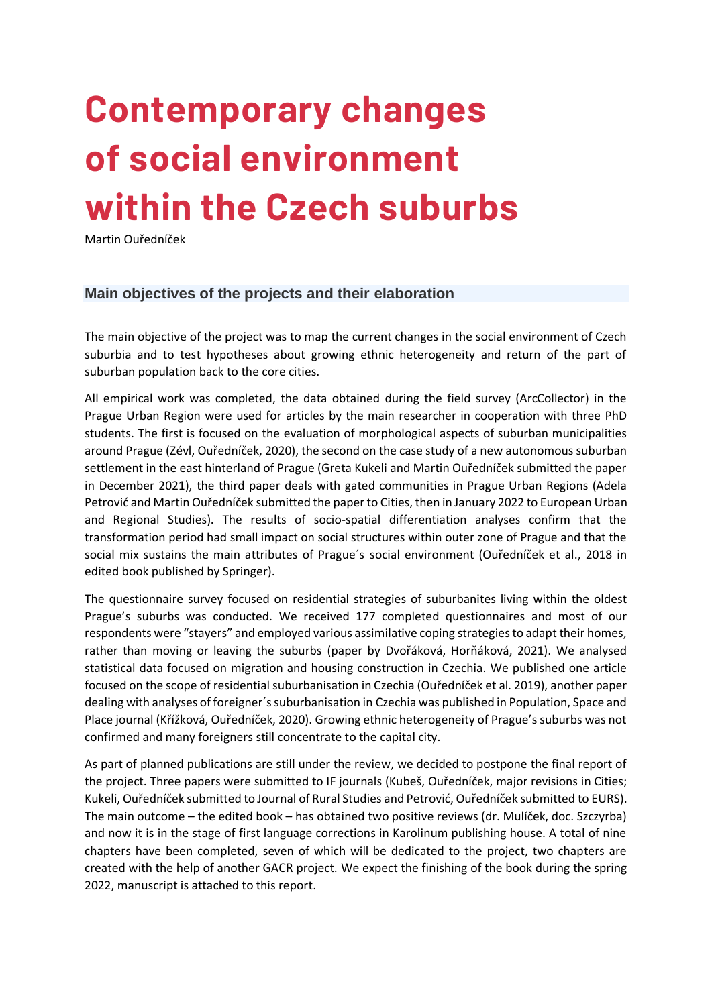# **Contemporary changes of social environment within the Czech suburbs**

Martin Ouředníček

#### **Main objectives of the projects and their elaboration**

The main objective of the project was to map the current changes in the social environment of Czech suburbia and to test hypotheses about growing ethnic heterogeneity and return of the part of suburban population back to the core cities.

All empirical work was completed, the data obtained during the field survey (ArcCollector) in the Prague Urban Region were used for articles by the main researcher in cooperation with three PhD students. The first is focused on the evaluation of morphological aspects of suburban municipalities around Prague (Zévl, Ouředníček, 2020), the second on the case study of a new autonomous suburban settlement in the east hinterland of Prague (Greta Kukeli and Martin Ouředníček submitted the paper in December 2021), the third paper deals with gated communities in Prague Urban Regions (Adela Petrović and Martin Ouředníček submitted the paper to Cities, then in January 2022 to European Urban and Regional Studies). The results of socio-spatial differentiation analyses confirm that the transformation period had small impact on social structures within outer zone of Prague and that the social mix sustains the main attributes of Prague´s social environment (Ouředníček et al., 2018 in edited book published by Springer).

The questionnaire survey focused on residential strategies of suburbanites living within the oldest Prague's suburbs was conducted. We received 177 completed questionnaires and most of our respondents were "stayers" and employed various assimilative coping strategies to adapt their homes, rather than moving or leaving the suburbs (paper by Dvořáková, Horňáková, 2021). We analysed statistical data focused on migration and housing construction in Czechia. We published one article focused on the scope of residential suburbanisation in Czechia (Ouředníček et al. 2019), another paper dealing with analyses of foreigner´s suburbanisation in Czechia was published in Population, Space and Place journal (Křížková, Ouředníček, 2020). Growing ethnic heterogeneity of Prague's suburbs was not confirmed and many foreigners still concentrate to the capital city.

As part of planned publications are still under the review, we decided to postpone the final report of the project. Three papers were submitted to IF journals (Kubeš, Ouředníček, major revisions in Cities; Kukeli, Ouředníček submitted to Journal of Rural Studies and Petrović, Ouředníček submitted to EURS). The main outcome – the edited book – has obtained two positive reviews (dr. Mulíček, doc. Szczyrba) and now it is in the stage of first language corrections in Karolinum publishing house. A total of nine chapters have been completed, seven of which will be dedicated to the project, two chapters are created with the help of another GACR project. We expect the finishing of the book during the spring 2022, manuscript is attached to this report.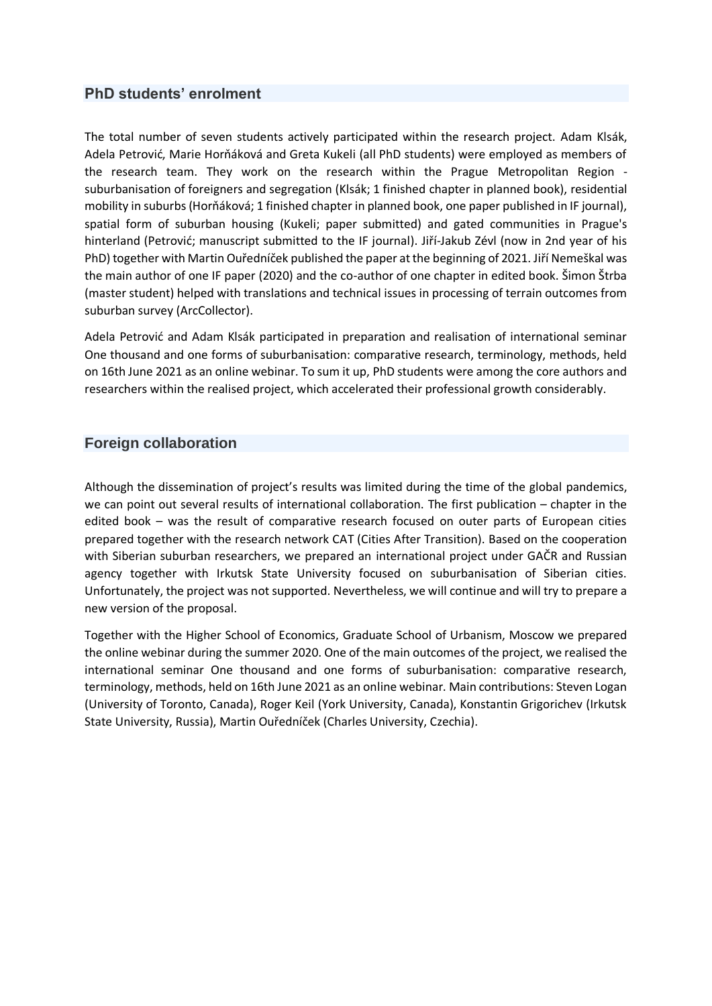# **PhD students' enrolment**

The total number of seven students actively participated within the research project. Adam Klsák, Adela Petrović, Marie Horňáková and Greta Kukeli (all PhD students) were employed as members of the research team. They work on the research within the Prague Metropolitan Region suburbanisation of foreigners and segregation (Klsák; 1 finished chapter in planned book), residential mobility in suburbs (Horňáková; 1 finished chapter in planned book, one paper published in IF journal), spatial form of suburban housing (Kukeli; paper submitted) and gated communities in Prague's hinterland (Petrović; manuscript submitted to the IF journal). Jiří-Jakub Zévl (now in 2nd year of his PhD) together with Martin Ouředníček published the paper at the beginning of 2021. Jiří Nemeškal was the main author of one IF paper (2020) and the co-author of one chapter in edited book. Šimon Štrba (master student) helped with translations and technical issues in processing of terrain outcomes from suburban survey (ArcCollector).

Adela Petrović and Adam Klsák participated in preparation and realisation of international seminar One thousand and one forms of suburbanisation: comparative research, terminology, methods, held on 16th June 2021 as an online webinar. To sum it up, PhD students were among the core authors and researchers within the realised project, which accelerated their professional growth considerably.

### **Foreign collaboration**

Although the dissemination of project's results was limited during the time of the global pandemics, we can point out several results of international collaboration. The first publication – chapter in the edited book – was the result of comparative research focused on outer parts of European cities prepared together with the research network CAT (Cities After Transition). Based on the cooperation with Siberian suburban researchers, we prepared an international project under GAČR and Russian agency together with Irkutsk State University focused on suburbanisation of Siberian cities. Unfortunately, the project was not supported. Nevertheless, we will continue and will try to prepare a new version of the proposal.

Together with the Higher School of Economics, Graduate School of Urbanism, Moscow we prepared the online webinar during the summer 2020. One of the main outcomes of the project, we realised the international seminar One thousand and one forms of suburbanisation: comparative research, terminology, methods, held on 16th June 2021 as an online webinar. Main contributions: Steven Logan (University of Toronto, Canada), Roger Keil (York University, Canada), Konstantin Grigorichev (Irkutsk State University, Russia), Martin Ouředníček (Charles University, Czechia).